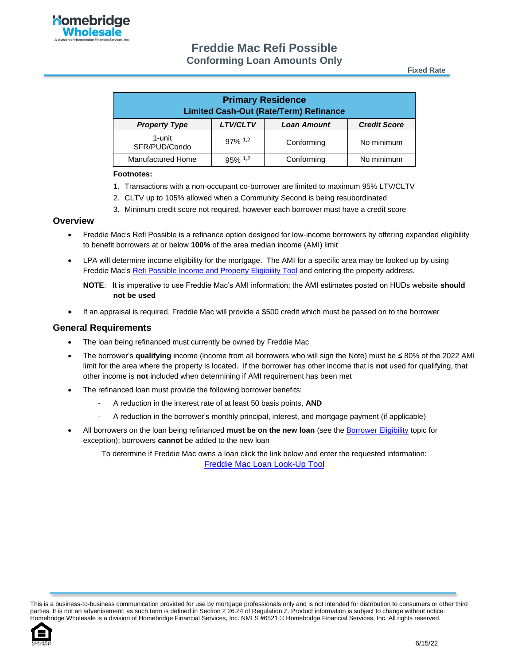**Fixed Rate**

| <b>Primary Residence</b><br><b>Limited Cash-Out (Rate/Term) Refinance</b> |                       |                    |                     |
|---------------------------------------------------------------------------|-----------------------|--------------------|---------------------|
| <b>Property Type</b>                                                      | <b>LTV/CLTV</b>       | <b>Loan Amount</b> | <b>Credit Score</b> |
| 1-unit<br>SFR/PUD/Condo                                                   | $97\%$ <sup>1,2</sup> | Conforming         | No minimum          |
| <b>Manufactured Home</b>                                                  | $95\%$ 1.2            | Conforming         | No minimum          |

#### **Footnotes:**

- 1. Transactions with a non-occupant co-borrower are limited to maximum 95% LTV/CLTV
- 2. CLTV up to 105% allowed when a Community Second is being resubordinated
- 3. Minimum credit score not required, however each borrower must have a credit score

#### **Overview**

- Freddie Mac's Refi Possible is a refinance option designed for low-income borrowers by offering expanded eligibility to benefit borrowers at or below **100%** of the area median income (AMI) limit
- LPA will determine income eligibility for the mortgage. The AMI for a specific area may be looked up by using Freddie Mac's [Refi Possible Income and Property Eligibility Tool](https://sf.freddiemac.com/working-with-us/affordable-lending/refi-possible-eligibility-tool) and entering the property address.
	- **NOTE**: It is imperative to use Freddie Mac's AMI information; the AMI estimates posted on HUDs website **should not be used**
- If an appraisal is required, Freddie Mac will provide a \$500 credit which must be passed on to the borrower

### **General Requirements**

- The loan being refinanced must currently be owned by Freddie Mac
- The borrower's **qualifying** income (income from all borrowers who will sign the Note) must be ≤ 80% of the 2022 AMI limit for the area where the property is located. If the borrower has other income that is **not** used for qualifying, that other income is **not** included when determining if AMI requirement has been met
- The refinanced loan must provide the following borrower benefits:
	- A reduction in the interest rate of at least 50 basis points, **AND**
	- A reduction in the borrower's monthly principal, interest, and mortgage payment (if applicable)
- All borrowers on the loan being refinanced **must be on the new loan** (see th[e Borrower Eligibility](#page-2-0) topic for exception); borrowers **cannot** be added to the new loan

To determine if Freddie Mac owns a loan click the link below and enter the requested information: [Freddie Mac Loan Look-Up Tool](https://loanlookup.freddiemac.com/)

This is a business-to-business communication provided for use by mortgage professionals only and is not intended for distribution to consumers or other third parties. It is not an advertisement; as such term is defined in Section 2 26.24 of Regulation Z. Product information is subject to change without notice. Homebridge Wholesale is a division of Homebridge Financial Services, Inc. NMLS #6521 © Homebridge Financial Services, Inc. All rights reserved.

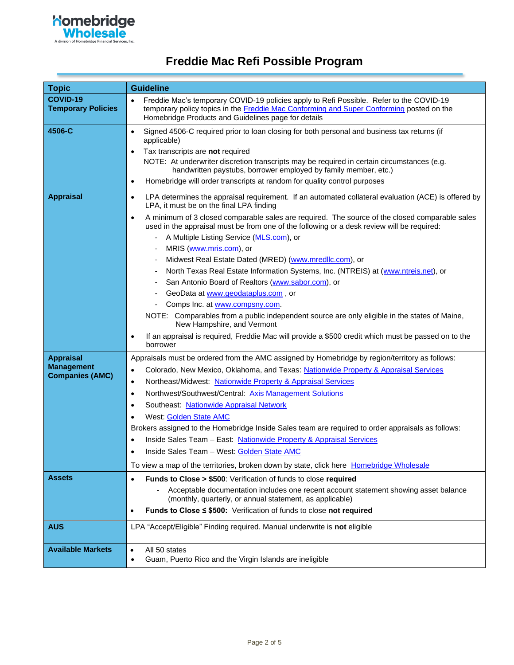

| <b>Topic</b>                                                    | <b>Guideline</b>                                                                                                                                                                                                                                                                                                                                                                                                                                                                                                                                                                                                                                                                                                                                 |
|-----------------------------------------------------------------|--------------------------------------------------------------------------------------------------------------------------------------------------------------------------------------------------------------------------------------------------------------------------------------------------------------------------------------------------------------------------------------------------------------------------------------------------------------------------------------------------------------------------------------------------------------------------------------------------------------------------------------------------------------------------------------------------------------------------------------------------|
| <b>COVID-19</b><br><b>Temporary Policies</b>                    | Freddie Mac's temporary COVID-19 policies apply to Refi Possible. Refer to the COVID-19<br>temporary policy topics in the Freddie Mac Conforming and Super Conforming posted on the<br>Homebridge Products and Guidelines page for details                                                                                                                                                                                                                                                                                                                                                                                                                                                                                                       |
| 4506-C                                                          | Signed 4506-C required prior to loan closing for both personal and business tax returns (if<br>$\bullet$<br>applicable)<br>Tax transcripts are not required<br>NOTE: At underwriter discretion transcripts may be required in certain circumstances (e.g.<br>handwritten paystubs, borrower employed by family member, etc.)<br>Homebridge will order transcripts at random for quality control purposes<br>٠                                                                                                                                                                                                                                                                                                                                    |
| <b>Appraisal</b>                                                | LPA determines the appraisal requirement. If an automated collateral evaluation (ACE) is offered by<br>$\bullet$<br>LPA, it must be on the final LPA finding<br>A minimum of 3 closed comparable sales are required. The source of the closed comparable sales<br>$\bullet$                                                                                                                                                                                                                                                                                                                                                                                                                                                                      |
|                                                                 | used in the appraisal must be from one of the following or a desk review will be required:<br>A Multiple Listing Service (MLS.com), or<br>MRIS (www.mris.com), or<br>Midwest Real Estate Dated (MRED) (www.mredllc.com), or<br>North Texas Real Estate Information Systems, Inc. (NTREIS) at (www.ntreis.net), or<br>San Antonio Board of Realtors (www.sabor.com), or<br>GeoData at www.geodataplus.com, or<br>Comps Inc. at www.compsny.com.<br>NOTE: Comparables from a public independent source are only eligible in the states of Maine,<br>New Hampshire, and Vermont<br>If an appraisal is required, Freddie Mac will provide a \$500 credit which must be passed on to the<br>$\bullet$<br>borrower                                     |
| <b>Appraisal</b><br><b>Management</b><br><b>Companies (AMC)</b> | Appraisals must be ordered from the AMC assigned by Homebridge by region/territory as follows:<br>Colorado, New Mexico, Oklahoma, and Texas: Nationwide Property & Appraisal Services<br>$\bullet$<br>Northeast/Midwest: Nationwide Property & Appraisal Services<br>٠<br>Northwest/Southwest/Central: Axis Management Solutions<br>٠<br>Southeast: Nationwide Appraisal Network<br>$\bullet$<br>West: Golden State AMC<br>٠<br>Brokers assigned to the Homebridge Inside Sales team are required to order appraisals as follows:<br>Inside Sales Team - East: Nationwide Property & Appraisal Services<br>Inside Sales Team - West: Golden State AMC<br>To view a map of the territories, broken down by state, click here Homebridge Wholesale |
| <b>Assets</b>                                                   | Funds to Close > \$500: Verification of funds to close required<br>$\bullet$<br>Acceptable documentation includes one recent account statement showing asset balance<br>(monthly, quarterly, or annual statement, as applicable)<br>Funds to Close ≤ \$500: Verification of funds to close not required<br>$\bullet$                                                                                                                                                                                                                                                                                                                                                                                                                             |
| <b>AUS</b>                                                      | LPA "Accept/Eligible" Finding required. Manual underwrite is not eligible                                                                                                                                                                                                                                                                                                                                                                                                                                                                                                                                                                                                                                                                        |
| <b>Available Markets</b>                                        | All 50 states<br>$\bullet$<br>Guam, Puerto Rico and the Virgin Islands are ineligible                                                                                                                                                                                                                                                                                                                                                                                                                                                                                                                                                                                                                                                            |

## **Freddie Mac Refi Possible Program**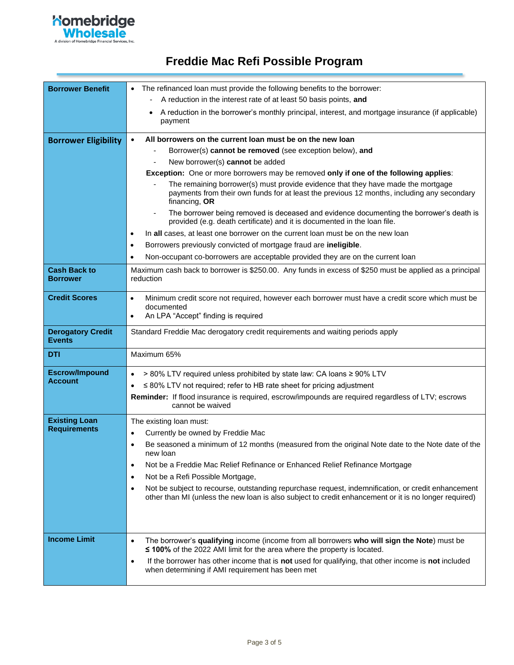

## **Freddie Mac Refi Possible Program**

<span id="page-2-0"></span>

| <b>Borrower Benefit</b>                   | • The refinanced loan must provide the following benefits to the borrower:                                                                                                                                       |  |  |
|-------------------------------------------|------------------------------------------------------------------------------------------------------------------------------------------------------------------------------------------------------------------|--|--|
|                                           | A reduction in the interest rate of at least 50 basis points, and                                                                                                                                                |  |  |
|                                           | A reduction in the borrower's monthly principal, interest, and mortgage insurance (if applicable)<br>payment                                                                                                     |  |  |
| <b>Borrower Eligibility</b>               | All borrowers on the current loan must be on the new loan<br>$\bullet$                                                                                                                                           |  |  |
|                                           | Borrower(s) cannot be removed (see exception below), and                                                                                                                                                         |  |  |
|                                           | New borrower(s) cannot be added                                                                                                                                                                                  |  |  |
|                                           | Exception: One or more borrowers may be removed only if one of the following applies:                                                                                                                            |  |  |
|                                           | The remaining borrower(s) must provide evidence that they have made the mortgage<br>payments from their own funds for at least the previous 12 months, including any secondary<br>financing, OR                  |  |  |
|                                           | The borrower being removed is deceased and evidence documenting the borrower's death is<br>$\blacksquare$<br>provided (e.g. death certificate) and it is documented in the loan file.                            |  |  |
|                                           | In all cases, at least one borrower on the current loan must be on the new loan<br>$\bullet$                                                                                                                     |  |  |
|                                           | Borrowers previously convicted of mortgage fraud are ineligible.<br>$\bullet$                                                                                                                                    |  |  |
|                                           | Non-occupant co-borrowers are acceptable provided they are on the current loan                                                                                                                                   |  |  |
| <b>Cash Back to</b><br><b>Borrower</b>    | Maximum cash back to borrower is \$250.00. Any funds in excess of \$250 must be applied as a principal<br>reduction                                                                                              |  |  |
| <b>Credit Scores</b>                      | Minimum credit score not required, however each borrower must have a credit score which must be<br>$\bullet$<br>documented<br>An LPA "Accept" finding is required                                                |  |  |
| <b>Derogatory Credit</b><br><b>Events</b> | Standard Freddie Mac derogatory credit requirements and waiting periods apply                                                                                                                                    |  |  |
| DTI                                       | Maximum 65%                                                                                                                                                                                                      |  |  |
| <b>Escrow/Impound</b>                     | > 80% LTV required unless prohibited by state law: CA loans ≥ 90% LTV<br>$\bullet$                                                                                                                               |  |  |
| <b>Account</b>                            | ≤ 80% LTV not required; refer to HB rate sheet for pricing adjustment                                                                                                                                            |  |  |
|                                           | Reminder: If flood insurance is required, escrow/impounds are required regardless of LTV; escrows<br>cannot be waived                                                                                            |  |  |
| <b>Existing Loan</b>                      | The existing loan must:                                                                                                                                                                                          |  |  |
| <b>Requirements</b>                       | Currently be owned by Freddie Mac<br>$\bullet$                                                                                                                                                                   |  |  |
|                                           | Be seasoned a minimum of 12 months (measured from the original Note date to the Note date of the<br>$\bullet$<br>new loan                                                                                        |  |  |
|                                           | Not be a Freddie Mac Relief Refinance or Enhanced Relief Refinance Mortgage<br>٠                                                                                                                                 |  |  |
|                                           | Not be a Refi Possible Mortgage,<br>$\bullet$                                                                                                                                                                    |  |  |
|                                           | Not be subject to recourse, outstanding repurchase request, indemnification, or credit enhancement<br>٠<br>other than MI (unless the new loan is also subject to credit enhancement or it is no longer required) |  |  |
|                                           |                                                                                                                                                                                                                  |  |  |
| <b>Income Limit</b>                       | The borrower's qualifying income (income from all borrowers who will sign the Note) must be<br>$\bullet$<br>≤ 100% of the 2022 AMI limit for the area where the property is located.                             |  |  |
|                                           | If the borrower has other income that is not used for qualifying, that other income is not included<br>$\bullet$<br>when determining if AMI requirement has been met                                             |  |  |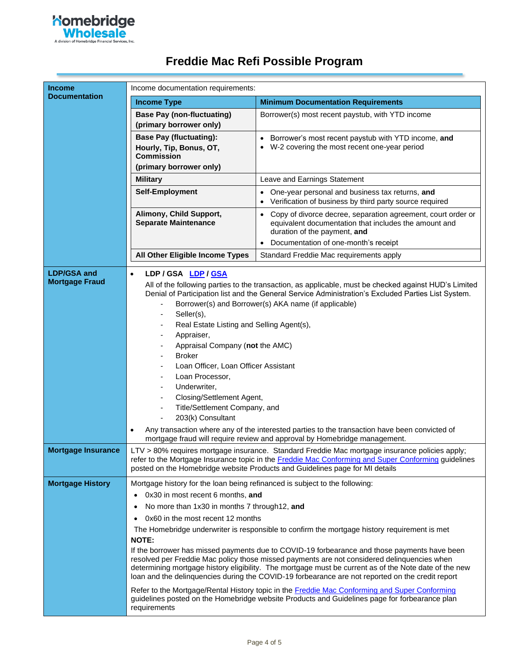

|  |  |  |  | Freddie Mac Refi Possible Program |
|--|--|--|--|-----------------------------------|
|--|--|--|--|-----------------------------------|

| <b>Income</b>                               | Income documentation requirements:                                                                                                                                                                                                                                                                                               |                                                                                                                                                                                                                                                                                                                                                                                                                                                                                                                                                                                                                                                                                                                   |  |
|---------------------------------------------|----------------------------------------------------------------------------------------------------------------------------------------------------------------------------------------------------------------------------------------------------------------------------------------------------------------------------------|-------------------------------------------------------------------------------------------------------------------------------------------------------------------------------------------------------------------------------------------------------------------------------------------------------------------------------------------------------------------------------------------------------------------------------------------------------------------------------------------------------------------------------------------------------------------------------------------------------------------------------------------------------------------------------------------------------------------|--|
| <b>Documentation</b>                        | <b>Income Type</b>                                                                                                                                                                                                                                                                                                               | <b>Minimum Documentation Requirements</b>                                                                                                                                                                                                                                                                                                                                                                                                                                                                                                                                                                                                                                                                         |  |
|                                             | <b>Base Pay (non-fluctuating)</b><br>(primary borrower only)                                                                                                                                                                                                                                                                     | Borrower(s) most recent paystub, with YTD income                                                                                                                                                                                                                                                                                                                                                                                                                                                                                                                                                                                                                                                                  |  |
|                                             | <b>Base Pay (fluctuating):</b><br>Hourly, Tip, Bonus, OT,<br><b>Commission</b><br>(primary borrower only)                                                                                                                                                                                                                        | • Borrower's most recent paystub with YTD income, and<br>W-2 covering the most recent one-year period                                                                                                                                                                                                                                                                                                                                                                                                                                                                                                                                                                                                             |  |
|                                             | <b>Military</b>                                                                                                                                                                                                                                                                                                                  | Leave and Earnings Statement                                                                                                                                                                                                                                                                                                                                                                                                                                                                                                                                                                                                                                                                                      |  |
|                                             | Self-Employment                                                                                                                                                                                                                                                                                                                  | One-year personal and business tax returns, and<br>Verification of business by third party source required                                                                                                                                                                                                                                                                                                                                                                                                                                                                                                                                                                                                        |  |
|                                             | Alimony, Child Support,<br><b>Separate Maintenance</b>                                                                                                                                                                                                                                                                           | • Copy of divorce decree, separation agreement, court order or<br>equivalent documentation that includes the amount and<br>duration of the payment, and                                                                                                                                                                                                                                                                                                                                                                                                                                                                                                                                                           |  |
|                                             |                                                                                                                                                                                                                                                                                                                                  | Documentation of one-month's receipt<br>$\bullet$                                                                                                                                                                                                                                                                                                                                                                                                                                                                                                                                                                                                                                                                 |  |
|                                             | All Other Eligible Income Types                                                                                                                                                                                                                                                                                                  | Standard Freddie Mac requirements apply                                                                                                                                                                                                                                                                                                                                                                                                                                                                                                                                                                                                                                                                           |  |
| <b>LDP/GSA and</b><br><b>Mortgage Fraud</b> | LDP / GSA LDP / GSA<br>$\bullet$<br>Seller(s),<br>Real Estate Listing and Selling Agent(s),<br>Appraiser,<br>Appraisal Company (not the AMC)<br><b>Broker</b><br>Loan Officer, Loan Officer Assistant<br>Loan Processor,<br>Underwriter,<br>Closing/Settlement Agent,<br>Title/Settlement Company, and<br>203(k) Consultant<br>٠ | All of the following parties to the transaction, as applicable, must be checked against HUD's Limited<br>Denial of Participation list and the General Service Administration's Excluded Parties List System.<br>Borrower(s) and Borrower(s) AKA name (if applicable)<br>Any transaction where any of the interested parties to the transaction have been convicted of<br>mortgage fraud will require review and approval by Homebridge management.                                                                                                                                                                                                                                                                |  |
| <b>Mortgage Insurance</b>                   |                                                                                                                                                                                                                                                                                                                                  | LTV > 80% requires mortgage insurance. Standard Freddie Mac mortgage insurance policies apply;<br>refer to the Mortgage Insurance topic in the Freddie Mac Conforming and Super Conforming guidelines<br>posted on the Homebridge website Products and Guidelines page for MI details                                                                                                                                                                                                                                                                                                                                                                                                                             |  |
| <b>Mortgage History</b>                     | Mortgage history for the loan being refinanced is subject to the following:<br>0x30 in most recent 6 months, and<br>$\bullet$<br>No more than 1x30 in months 7 through 12, and<br>٠<br>0x60 in the most recent 12 months<br><b>NOTE:</b><br>requirements                                                                         | The Homebridge underwriter is responsible to confirm the mortgage history requirement is met<br>If the borrower has missed payments due to COVID-19 forbearance and those payments have been<br>resolved per Freddie Mac policy those missed payments are not considered delinquencies when<br>determining mortgage history eligibility. The mortgage must be current as of the Note date of the new<br>loan and the delinquencies during the COVID-19 forbearance are not reported on the credit report<br>Refer to the Mortgage/Rental History topic in the <b>Freddie Mac Conforming and Super Conforming</b><br>guidelines posted on the Homebridge website Products and Guidelines page for forbearance plan |  |